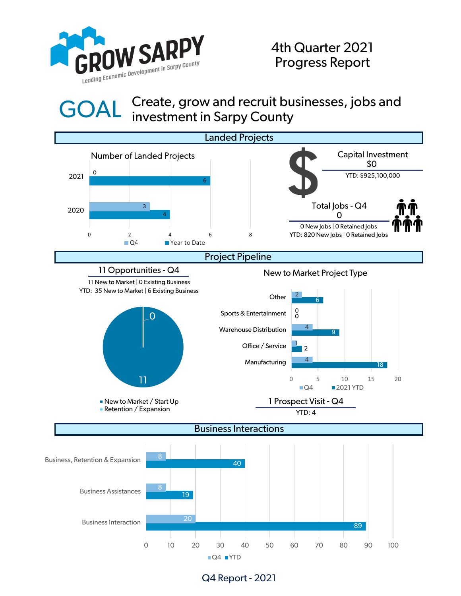

**GOAL** 

## Create, grow and recruit businesses, jobs and investment in Sarpy County



Q4 Report - 2021